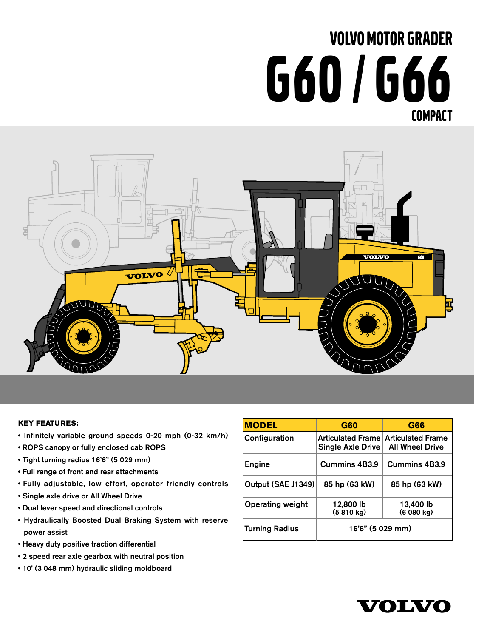# VOLVO MOTOR GRADER G60 / G66 COMPACT



#### **KEY FEATURES:**

- Infinitely variable ground speeds 0-20 mph (0-32 km/h)
- ROPS canopy or fully enclosed cab ROPS
- Tight turning radius 16'6" (5 029 mm)
- Full range of front and rear attachments
- Fully adjustable, low effort, operator friendly controls
- Single axle drive or All Wheel Drive
- Dual lever speed and directional controls
- Hydraulically Boosted Dual Braking System with reserve power assist
- Heavy duty positive traction differential
- 2 speed rear axle gearbox with neutral position
- 10' (3 048 mm) hydraulic sliding moldboard

| <b>MODEL</b>            | <b>G60</b>                                                 | <b>G66</b>             |
|-------------------------|------------------------------------------------------------|------------------------|
| Configuration           | Articulated Frame   Articulated Frame<br>Single Axle Drive | <b>All Wheel Drive</b> |
| <b>Engine</b>           | Cummins 4B3.9                                              | <b>Cummins 4B3.9</b>   |
| Output (SAE J1349)      | 85 hp (63 kW)                                              | 85 hp (63 kW)          |
| <b>Operating weight</b> | 12,800 lb<br>(5810 kg)                                     | 13,400 lb<br>(6080 kg) |
| <b>Turning Radius</b>   | 16'6" (5 029 mm)                                           |                        |

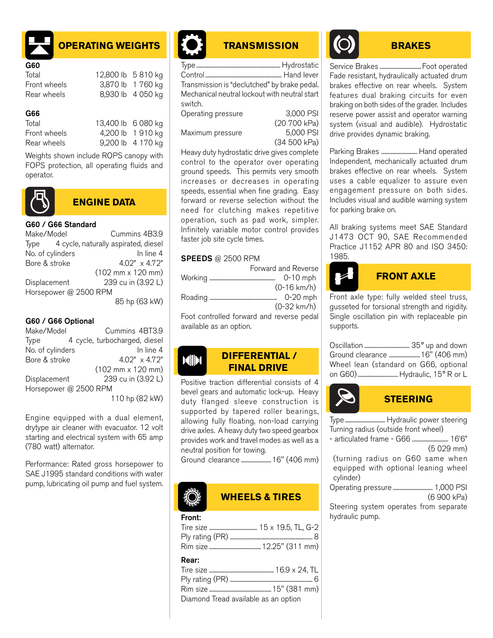

# **OPERATING WEIGHTS**

| G60          |                    |
|--------------|--------------------|
| Total        | 12,800 lb 5 810 kg |
| Front wheels | 3,870 lb 1 760 kg  |
| Rear wheels  | 8,930 lb 4 050 kg  |

#### G66

| ---          |                    |                   |
|--------------|--------------------|-------------------|
| Total        | 13,400 lb 6 080 kg |                   |
| Front wheels |                    | 4,200 lb 1 910 kg |
| Rear wheels  |                    | 9,200 lb 4 170 kg |
|              |                    |                   |

Weights shown include ROPS canopy with FOPS protection, all operating fluids and operator.



## **ENGINE DATA**

#### G60 / G66 Standard

| Make/Model            | Cummins 4B3.9                                |
|-----------------------|----------------------------------------------|
|                       | Type 4 cycle, naturally aspirated, diesel    |
| No. of cylinders      | In line 4                                    |
| Bore & stroke         | 4.02" x 4.72"                                |
|                       | $(102 \, \text{mm} \times 120 \, \text{mm})$ |
| Displacement          | 239 cu in (3.92 L)                           |
| Horsepower @ 2500 RPM |                                              |
|                       | 85 hp (63 kW)                                |

#### G60 / G66 Optional

| Make/Model            | Cummins 4BT3.9                               |           |
|-----------------------|----------------------------------------------|-----------|
| Type                  | 4 cycle, turbocharged, diesel                |           |
| No. of cylinders      |                                              | In line 4 |
| Bore & stroke         | $4.02" \times 4.72"$                         |           |
|                       | $(102 \, \text{mm} \times 120 \, \text{mm})$ |           |
| Displacement          | 239 cu in (3.92 L)                           |           |
| Horsepower @ 2500 RPM |                                              |           |
|                       | 110 hp (82 kW)                               |           |

Engine equipped with a dual element, drytype air cleaner with evacuator. 12 volt starting and electrical system with 65 amp (780 watt) alternator.

Performance: Rated gross horsepower to SAE J1995 standard conditions with water pump, lubricating oil pump and fuel system.



## **TRANSMISSION**

| Transmission is "declutched" by brake pedal.  |              |
|-----------------------------------------------|--------------|
| Mechanical neutral lockout with neutral start |              |
| switch.                                       |              |
| Operating pressure                            | 3,000 PSI    |
|                                               | (20 700 kPa) |
| Maximum pressure                              | 5,000 PSI    |

(34 500 kPa)

Heavy duty hydrostatic drive gives complete control to the operator over operating ground speeds. This permits very smooth increases or decreases in operating speeds, essential when fine grading. Easy forward or reverse selection without the need for clutching makes repetitive operation, such as pad work, simpler. Infinitely variable motor control provides faster job site cycle times.

#### **SPEEDS** @ 2500 RPM

| Forward and Reverse                       |
|-------------------------------------------|
| $0-10$ mph                                |
| $(0-16 \text{ km/h})$                     |
| 0-20 mph                                  |
| $(0-32 \text{ km/h})$                     |
| Foot controlled forward and reverse pedal |

available as an option.

#### **DIFFERENTIAL / FINAL DRIVE**

Positive traction differential consists of 4 bevel gears and automatic lock-up. Heavy duty flanged sleeve construction is supported by tapered roller bearings, allowing fully floating, non-load carrying drive axles. A heavy duty two speed gearbox provides work and travel modes as well as a neutral position for towing.

Ground clearance .......................16" (406 mm)

#### **WHEELS & TIRES**

#### Front:

| Rear:                                |  |
|--------------------------------------|--|
|                                      |  |
|                                      |  |
|                                      |  |
| Diamond Tread available as an option |  |
|                                      |  |

# **BRAKES**

Service Brakes ................................. Foot operated Fade resistant, hydraulically actuated drum brakes effective on rear wheels. System features dual braking circuits for even braking on both sides of the grader. Includes reserve power assist and operator warning system (visual and audible). Hydrostatic drive provides dynamic braking.

Parking Brakes ............................ Hand operated Independent, mechanically actuated drum brakes effective on rear wheels. System uses a cable equalizer to assure even engagement pressure on both sides. Includes visual and audible warning system for parking brake on.

All braking systems meet SAE Standard J1473 OCT 90, SAE Recommended Practice J1152 APR 80 and ISO 3450: 1985.

# **FRONT AXLE**

Front axle type: fully welded steel truss, gusseted for torsional strength and rigidity. Single oscillation pin with replaceable pin supports.

| Ground clearance  16" (406 mm)        |  |
|---------------------------------------|--|
| Wheel lean (standard on G66, optional |  |
|                                       |  |



# **STEERING**

Type............................... Hydraulic power steering Turning radius (outside front wheel)

- articulated frame - G66 ............................ 16'6" (5 029 mm)

(turning radius on G60 same when equipped with optional leaning wheel cylinder)

Operating pressure ............................... 1,000 PSI (6 900 kPa)

Steering system operates from separate hydraulic pump.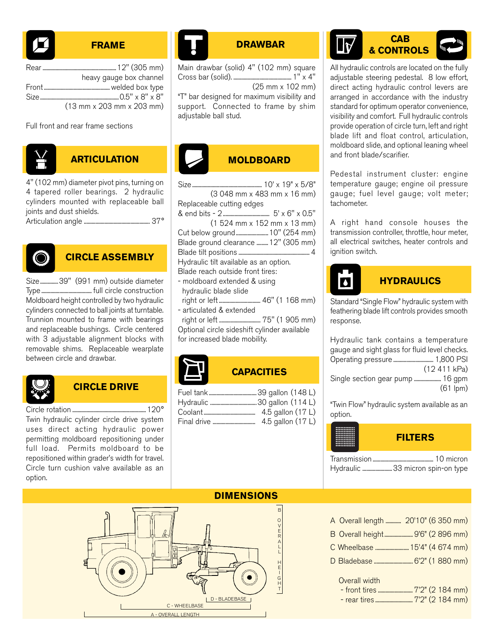

#### **FRAME**

| heavy gauge box channel                                             |
|---------------------------------------------------------------------|
|                                                                     |
|                                                                     |
| $(13 \, \text{mm} \times 203 \, \text{mm} \times 203 \, \text{mm})$ |

Full front and rear frame sections



# **ARTICULATION**

4" (102 mm) diameter pivot pins, turning on 4 tapered roller bearings. 2 hydraulic cylinders mounted with replaceable ball joints and dust shields.

Articulation angle ................................................... 37°



# **CIRCLE ASSEMBLY**

Size..............39" (991 mm) outside diameter Type....................................... full circle construction Moldboard height controlled by two hydraulic cylinders connected to ball joints at turntable. Trunnion mounted to frame with bearings and replaceable bushings. Circle centered with 3 adjustable alignment blocks with removable shims. Replaceable wearplate between circle and drawbar.



# **CIRCLE DRIVE**

Circle rotation .........................................................120° Twin hydraulic cylinder circle drive system uses direct acting hydraulic power permitting moldboard repositioning under full load. Permits moldboard to be repositioned within grader's width for travel. Circle turn cushion valve available as an option.



# **DRAWBAR**

Main drawbar (solid) 4" (102 mm) square Cross bar (solid). ............................................. 1" x 4" (25 mm x 102 mm)

"T" bar designed for maximum visibility and support. Connected to frame by shim adjustable ball stud.



Size...................................................... 10' x 19" x 5/8" (3 048 mm x 483 mm x 16 mm) Replaceable cutting edges & end bits - 2 .................................... 5' x 6" x 0.5" (1 524 mm x 152 mm x 13 mm) Cut below ground.........................10" (254 mm) Blade ground clearance .........12" (305 mm) Blade tilt positions ....................................................... 4 Hydraulic tilt available as an option. Blade reach outside front tires: - moldboard extended & using hydraulic blade slide right or left ................................ 46" (1 168 mm) - articulated & extended

 right or left ................................ 75" (1 905 mm) Optional circle sideshift cylinder available

for increased blade mobility.



# **CAPACITIES**

| 4.5 gallon (17 L) |
|-------------------|



All hydraulic controls are located on the fully adjustable steering pedestal. 8 low effort, direct acting hydraulic control levers are arranged in accordance with the industry standard for optimum operator convenience, visibility and comfort. Full hydraulic controls provide operation of circle turn, left and right blade lift and float control, articulation, moldboard slide, and optional leaning wheel and front blade/scarifier.

Pedestal instrument cluster: engine temperature gauge; engine oil pressure gauge; fuel level gauge; volt meter; tachometer.

A right hand console houses the transmission controller, throttle, hour meter, all electrical switches, heater controls and ignition switch.



# **HYDRAULICS**

Standard "Single Flow" hydraulic system with feathering blade lift controls provides smooth response.

Hydraulic tank contains a temperature gauge and sight glass for fluid level checks. Operating pressure ............................... 1,800 PSI (12 411 kPa) Single section gear pump ..................... 16 gpm (61 lpm)

"Twin Flow" hydraulic system available as an option.

| <br>************<br>------------<br>************<br><br>************<br>************<br>************<br><br>************ | <b>FILTERS</b>                   |
|--------------------------------------------------------------------------------------------------------------------------|----------------------------------|
|                                                                                                                          | Hydraulic 33 micron spin-on type |



## A Overall length ............ 20'10" (6 350 mm) B Overall height...................... 9'6" (2 896 mm)

- 
- C Wheelbase ..........................15'4" (4 674 mm)
- D Bladebase .............................. 6'2" (1 880 mm)

Overall width

- front tires ........................... 7'2" (2 184 mm)

- rear tires ............................. 7'2" (2 184 mm)